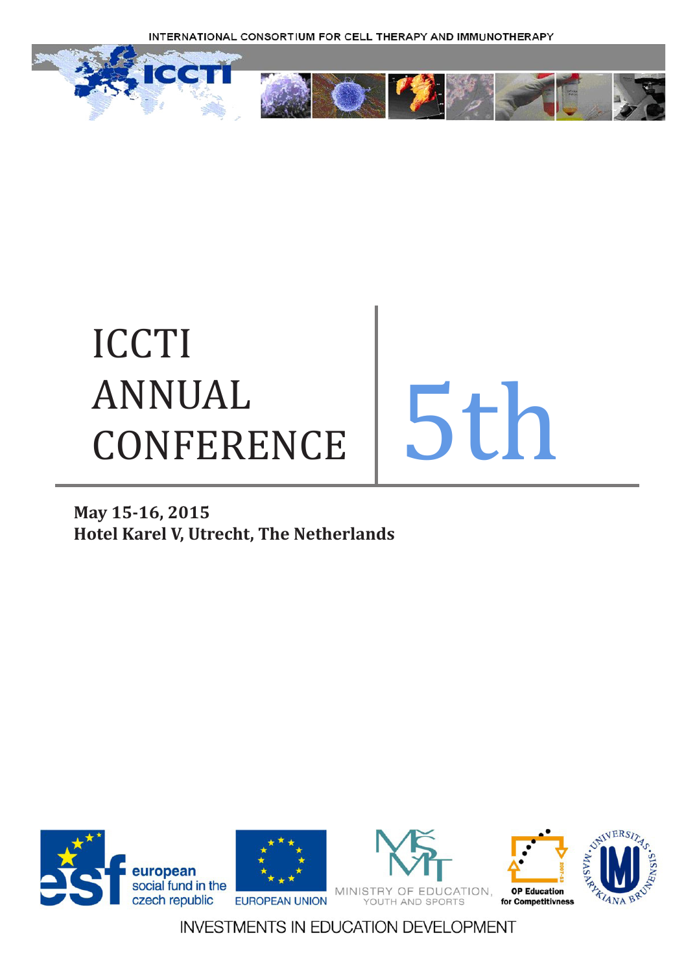

# ICCTI ANNUAL ANNUAL<br>CONFERENCE 5th

## **May 15-16, 2015 Hotel Karel V, Utrecht, The Netherlands**

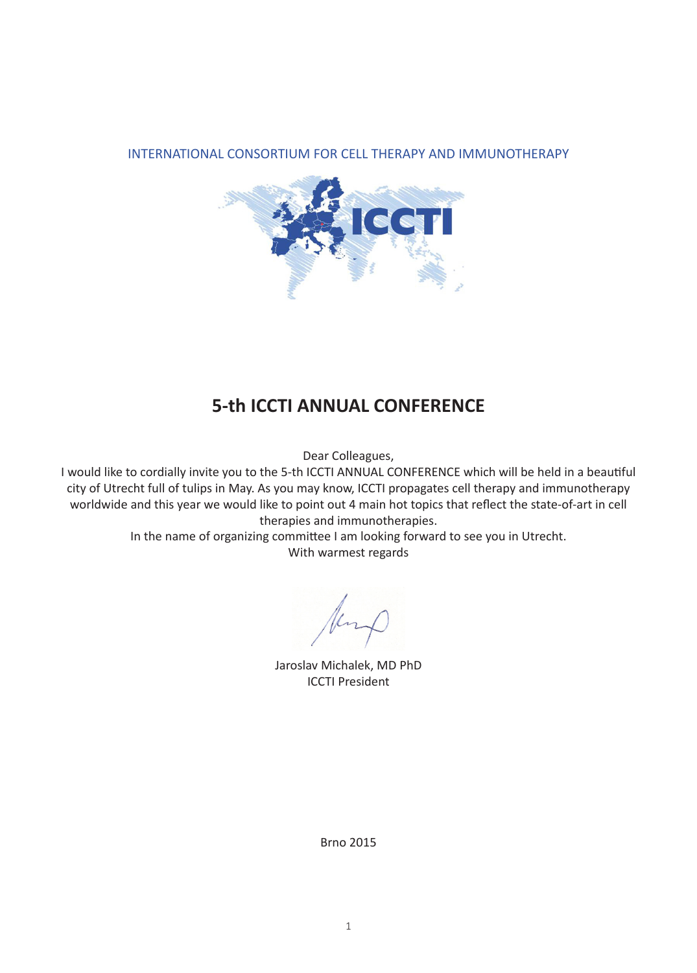

## **5-th ICCTI ANNUAL CONFERENCE**

Dear Colleagues,

I would like to cordially invite you to the 5-th ICCTI ANNUAL CONFERENCE which will be held in a beautiful city of Utrecht full of tulips in May. As you may know, ICCTI propagates cell therapy and immunotherapy worldwide and this year we would like to point out 4 main hot topics that reflect the state-of-art in cell therapies and immunotherapies.

In the name of organizing committee I am looking forward to see you in Utrecht. With warmest regards

Jaroslav Michalek, MD PhD ICCTI President

Brno 2015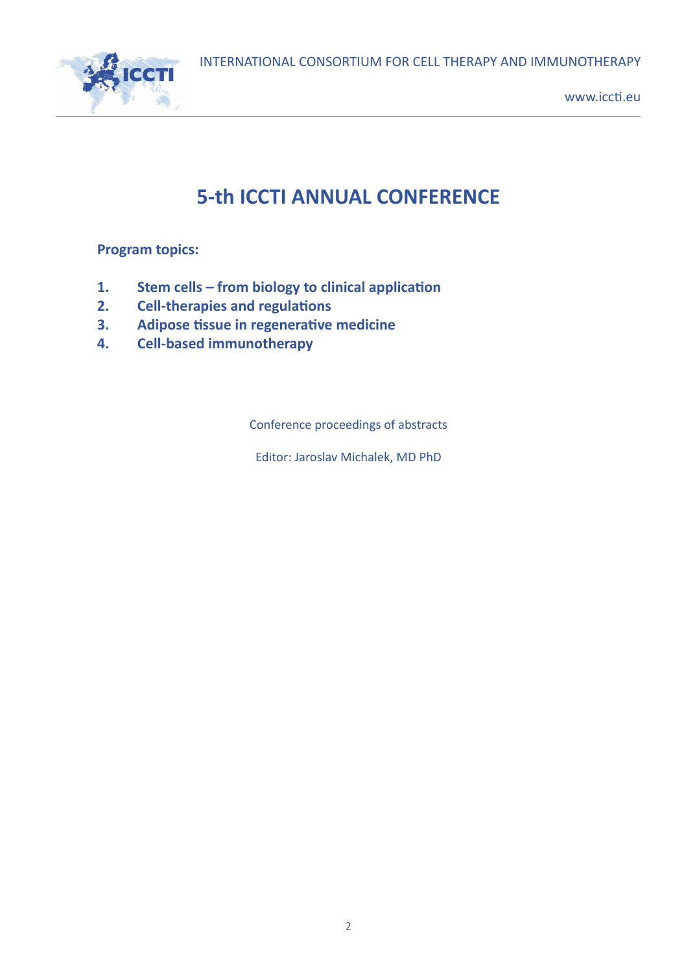

## **5-th ICCTI ANNUAL CONFERENCE**

**Program topics:**

- **1. Stem cells – from biology to clinical application**
- **2. Cell-therapies and regulations**
- **3. Adipose tissue in regenerative medicine**
- **4. Cell-based immunotherapy**

Conference proceedings of abstracts

Editor: Jaroslav Michalek, MD PhD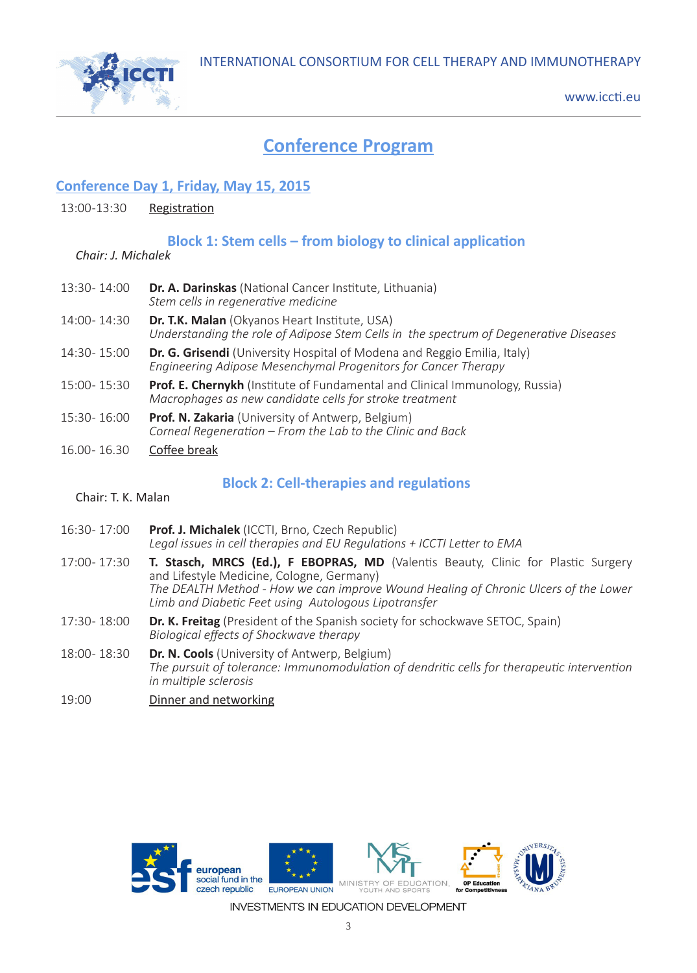

## **Conference Program**

#### **Conference Day 1, Friday, May 15, 2015**

#### 13:00 -13:30 Registration

#### **Block 1: Stem cells – from biology to clinical application**

#### *Chair: J. Michalek*

- 13:30 14:00 **Dr. A. Darinskas** (National Cancer Institute, Lithuania) *Stem cells in regenerative medicine*
- 14:00 14:30 **Dr. T.K. Malan** (Okyanos Heart Institute, USA) *Understanding the role of Adipose Stem Cells in the spectrum of Degenerative Diseases*
- 14:30 15:00 **Dr. G. Grisendi** (University Hospital of Modena and Reggio Emilia, Italy) *Engineering Adipose Mesenchymal Progenitors for Cancer Therapy*
- 15:00 15:30 **Prof. E. Chernykh** (Institute of Fundamental and Clinical Immunology, Russia) *Macrophages as new candidate cells for stroke treatment*
- 15:30 16:00 **Prof. N. Zakaria** (University of Antwerp, Belgium) *Corneal Regeneration – From the Lab to the Clinic and Back*
- 16.00 16.30 Coffee break

#### **Block 2: Cell-therapies and regulations**

#### Chair: T. K. Malan

- 16:30 17:00 **Prof. J. Michalek** (ICCTI, Brno, Czech Republic) *Legal issues in cell therapies and EU Regulations + ICCTI Letter to EMA*
- 17:00 17:30 **T. Stasch, MRCS (Ed.), F EBOPRAS, MD** (Valentis Beauty, Clinic for Plastic Surgery and Lifestyle Medicine, Cologne, Germany) *The DEALTH Method - How we can improve Wound Healing of Chronic Ulcers of the Lower Limb and Diabetic Feet using Autologous Lipotransfer*
- 17:30 18:00 **Dr. K. Freitag** (President of the Spanish society for schockwave SETOC, Spain) *Biological effects of Shockwave therapy*
- 18:00 18:30 **Dr. N. Cools** (University of Antwerp, Belgium) *The pursuit of tolerance: Immunomodulation of dendritic cells for therapeutic intervention in multiple sclerosis*
- 19:00 Dinner and networking

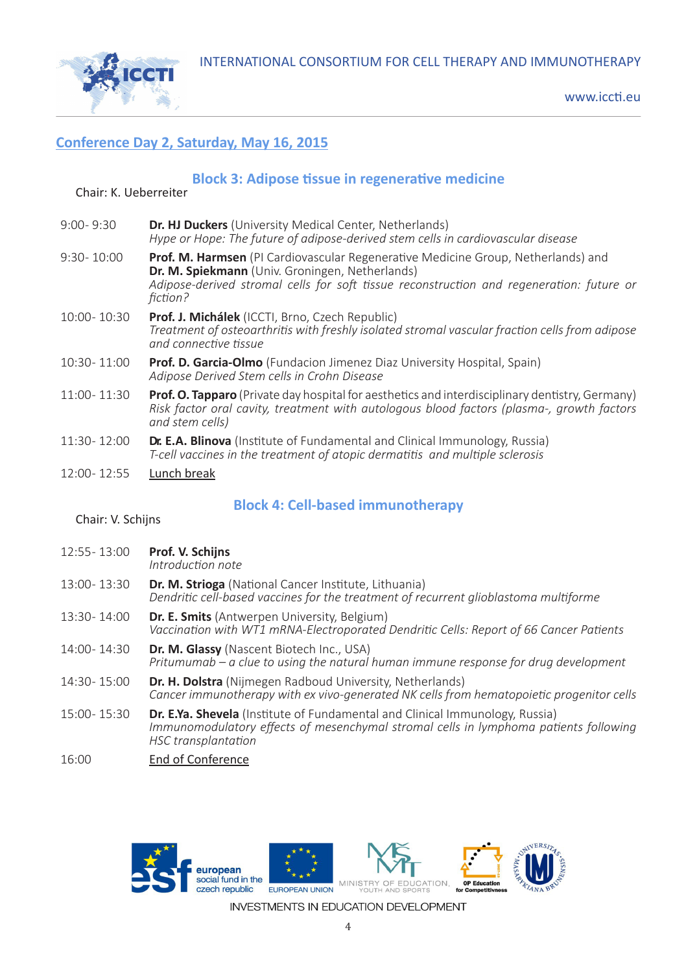

#### **Conference Day 2, Saturday, May 16, 2015**

#### **Block 3: Adipose tissue in regenerative medicine**

#### Chair: K. Ueberreiter

| $9:00 - 9:30$ | <b>Dr. HJ Duckers</b> (University Medical Center, Netherlands)<br>Hype or Hope: The future of adipose-derived stem cells in cardiovascular disease                                                                                           |
|---------------|----------------------------------------------------------------------------------------------------------------------------------------------------------------------------------------------------------------------------------------------|
| 9:30-10:00    | Prof. M. Harmsen (PI Cardiovascular Regenerative Medicine Group, Netherlands) and<br>Dr. M. Spiekmann (Univ. Groningen, Netherlands)<br>Adipose-derived stromal cells for soft tissue reconstruction and regeneration: future or<br>fiction? |
| 10:00-10:30   | Prof. J. Michálek (ICCTI, Brno, Czech Republic)<br>Treatment of osteoarthritis with freshly isolated stromal vascular fraction cells from adipose<br>and connective tissue                                                                   |
| 10:30-11:00   | <b>Prof. D. Garcia-Olmo</b> (Fundacion Jimenez Diaz University Hospital, Spain)<br>Adipose Derived Stem cells in Crohn Disease                                                                                                               |
| 11:00-11:30   | Prof. O. Tapparo (Private day hospital for aesthetics and interdisciplinary dentistry, Germany)<br>Risk factor oral cavity, treatment with autologous blood factors (plasma-, growth factors<br>and stem cells)                              |
| 11:30-12:00   | Dr. E.A. Blinova (Institute of Fundamental and Clinical Immunology, Russia)<br>T-cell vaccines in the treatment of atopic dermatitis and multiple sclerosis                                                                                  |
| 12:00-12:55   | Lunch break                                                                                                                                                                                                                                  |

#### **Block 4: Cell-based immunotherapy**

#### Chair: V. Schijns

12:55 - 13:00 **Prof. V. Schijns**

*Introduction note*

- 13:00 13:30 **Dr. M. Strioga** (National Cancer Institute, Lithuania) *Dendritic cell-based vaccines for the treatment of recurrent glioblastoma multiforme*
- 13:30 14:00 **Dr. E. Smits** (Antwerpen University, Belgium) *Vaccination with WT1 mRNA-Electroporated Dendritic Cells: Report of 66 Cancer Patients*
- 14:00 14:30 **Dr. M. Glassy** (Nascent Biotech Inc., USA) *Pritumumab – a clue to using the natural human immune response for drug development*
- 14:30 15:00 **Dr. H. Dolstra** (Nijmegen Radboud University, Netherlands) *Cancer immunotherapy with ex vivo-generated NK cells from hematopoietic progenitor cells*
- 15:00 15:30 **Dr. E.Ya. Shevela** (Institute of Fundamental and Clinical Immunology, Russia) *Immunomodulatory effects of mesenchymal stromal cells in lymphoma patients following HSC transplantation*
- 16:00 End of Conference

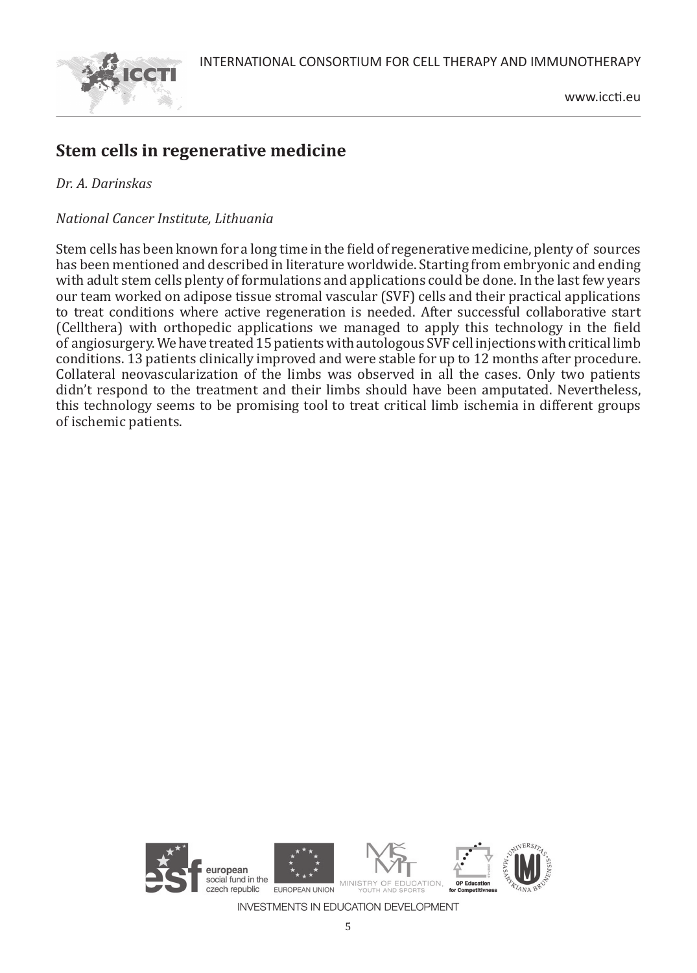

## **Stem cells in regenerative medicine**

#### *Dr. A. Darinskas*

#### *National Cancer Institute, Lithuania*

Stem cells has been known for a long time in the field of regenerative medicine, plenty of sources has been mentioned and described in literature worldwide. Starting from embryonic and ending with adult stem cells plenty of formulations and applications could be done. In the last few years our team worked on adipose tissue stromal vascular (SVF) cells and their practical applications to treat conditions where active regeneration is needed. After successful collaborative start (Cellthera) with orthopedic applications we managed to apply this technology in the field of angiosurgery. We have treated 15 patients with autologous SVF cell injections with critical limb conditions. 13 patients clinically improved and were stable for up to 12 months after procedure. Collateral neovascularization of the limbs was observed in all the cases. Only two patients didn't respond to the treatment and their limbs should have been amputated. Nevertheless, this technology seems to be promising tool to treat critical limb ischemia in different groups of ischemic patients.

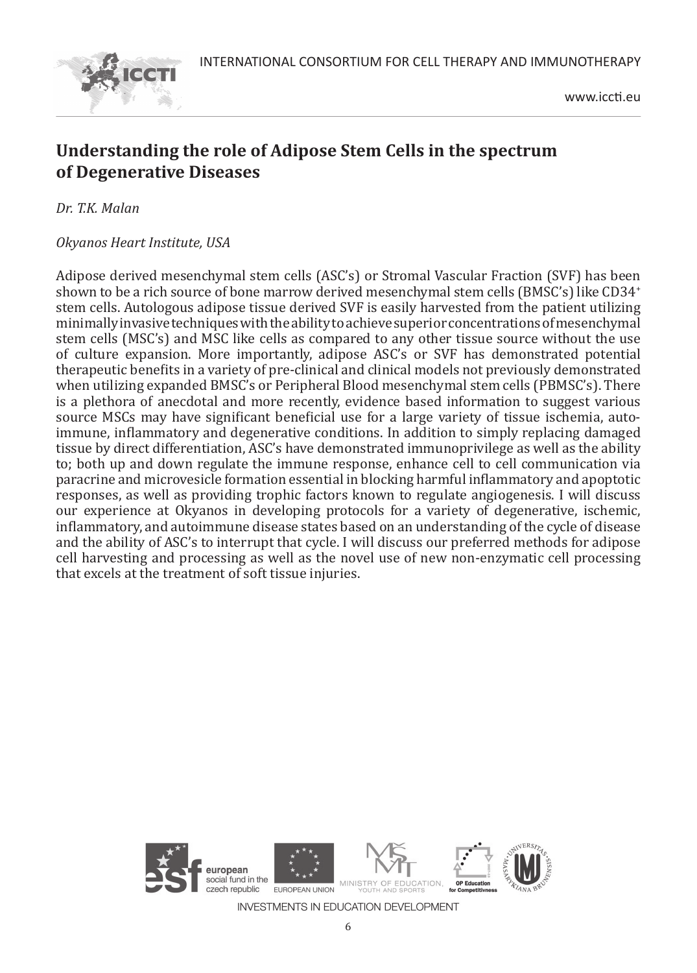

## **Understanding the role of Adipose Stem Cells in the spectrum of Degenerative Diseases**

*Dr. T.K. Malan* 

*Okyanos Heart Institute, USA*

Adipose derived mesenchymal stem cells (ASC's) or Stromal Vascular Fraction (SVF) has been shown to be a rich source of bone marrow derived mesenchymal stem cells (BMSC's) like CD34<sup>+</sup> stem cells. Autologous adipose tissue derived SVF is easily harvested from the patient utilizing minimally invasive techniques with the ability to achieve superior concentrations of mesenchymal stem cells (MSC's) and MSC like cells as compared to any other tissue source without the use of culture expansion. More importantly, adipose ASC's or SVF has demonstrated potential therapeutic benefits in a variety of pre-clinical and clinical models not previously demonstrated when utilizing expanded BMSC's or Peripheral Blood mesenchymal stem cells (PBMSC's). There is a plethora of anecdotal and more recently, evidence based information to suggest various source MSCs may have significant beneficial use for a large variety of tissue ischemia, autoimmune, inflammatory and degenerative conditions. In addition to simply replacing damaged tissue by direct differentiation, ASC's have demonstrated immunoprivilege as well as the ability to; both up and down regulate the immune response, enhance cell to cell communication via paracrine and microvesicle formation essential in blocking harmful inflammatory and apoptotic responses, as well as providing trophic factors known to regulate angiogenesis. I will discuss our experience at Okyanos in developing protocols for a variety of degenerative, ischemic, inflammatory, and autoimmune disease states based on an understanding of the cycle of disease and the ability of ASC's to interrupt that cycle. I will discuss our preferred methods for adipose cell harvesting and processing as well as the novel use of new non-enzymatic cell processing that excels at the treatment of soft tissue injuries.

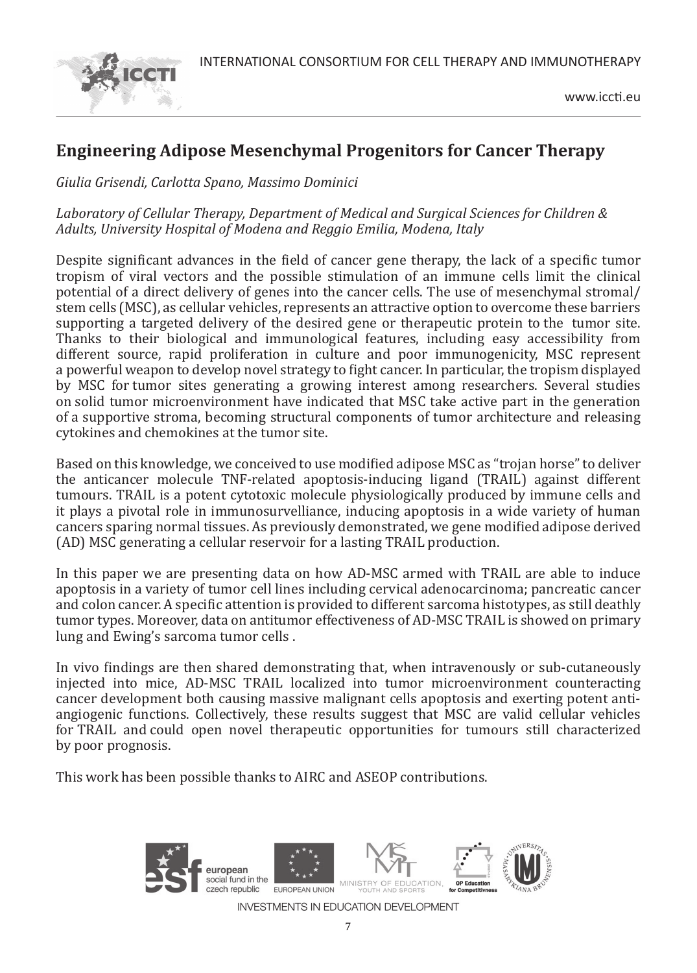



## **Engineering Adipose Mesenchymal Progenitors for Cancer Therapy**

*Giulia Grisendi, Carlotta Spano, Massimo Dominici*

#### *Laboratory of Cellular Therapy, Department of Medical and Surgical Sciences for Children & Adults, University Hospital of Modena and Reggio Emilia, Modena, Italy*

Despite significant advances in the field of cancer gene therapy, the lack of a specific tumor tropism of viral vectors and the possible stimulation of an immune cells limit the clinical potential of a direct delivery of genes into the cancer cells. The use of mesenchymal stromal/ stem cells (MSC), as cellular vehicles, represents an attractive option to overcome these barriers supporting a targeted delivery of the desired gene or therapeutic protein to the tumor site. Thanks to their biological and immunological features, including easy accessibility from different source, rapid proliferation in culture and poor immunogenicity, MSC represent a powerful weapon to develop novel strategy to fight cancer. In particular, the tropism displayed by MSC for tumor sites generating a growing interest among researchers. Several studies on solid tumor microenvironment have indicated that MSC take active part in the generation of a supportive stroma, becoming structural components of tumor architecture and releasing cytokines and chemokines at the tumor site.

Based on this knowledge, we conceived to use modified adipose MSC as "trojan horse" to deliver the anticancer molecule TNF-related apoptosis-inducing ligand (TRAIL) against different tumours. TRAIL is a potent cytotoxic molecule physiologically produced by immune cells and it plays a pivotal role in immunosurvelliance, inducing apoptosis in a wide variety of human cancers sparing normal tissues. As previously demonstrated, we gene modified adipose derived (AD) MSC generating a cellular reservoir for a lasting TRAIL production.

In this paper we are presenting data on how AD-MSC armed with TRAIL are able to induce apoptosis in a variety of tumor cell lines including cervical adenocarcinoma; pancreatic cancer and colon cancer. A specific attention is provided to different sarcoma histotypes, as still deathly tumor types. Moreover, data on antitumor effectiveness of AD-MSC TRAIL is showed on primary lung and Ewing's sarcoma tumor cells .

In vivo findings are then shared demonstrating that, when intravenously or sub-cutaneously injected into mice, AD-MSC TRAIL localized into tumor microenvironment counteracting cancer development both causing massive malignant cells apoptosis and exerting potent antiangiogenic functions. Collectively, these results suggest that MSC are valid cellular vehicles for TRAIL and could open novel therapeutic opportunities for tumours still characterized by poor prognosis.

This work has been possible thanks to AIRC and ASEOP contributions.

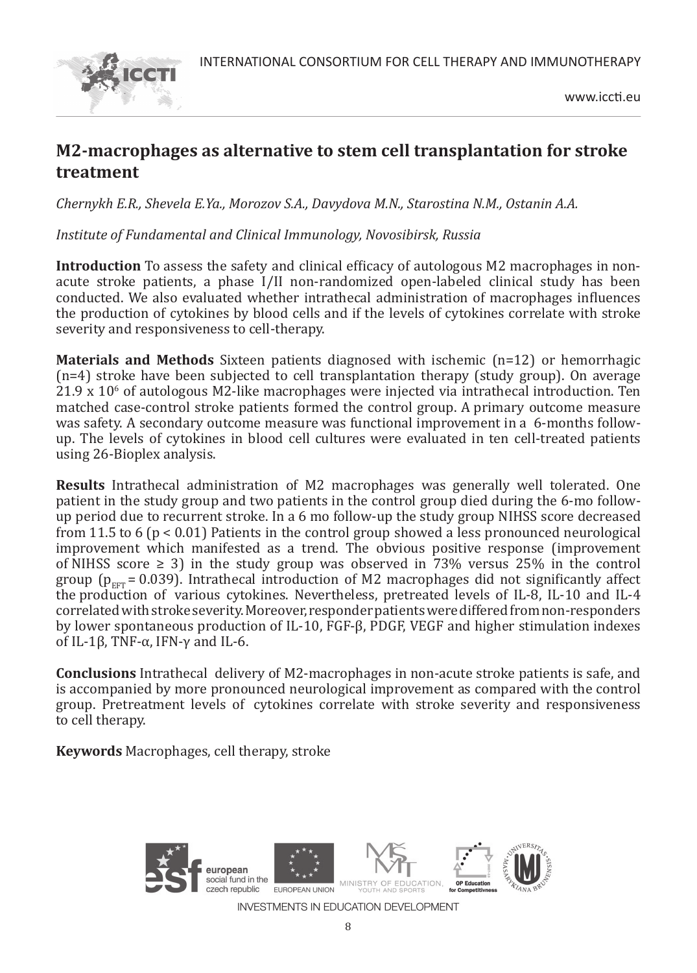

## **M2-macrophages as alternative to stem cell transplantation for stroke treatment**

*Chernykh E.R., Shevela E.Ya., Morozov S.A., Davydova M.N., Starostina N.M., Ostanin A.A.*

*Institute of Fundamental and Clinical Immunology, Novosibirsk, Russia*

**Introduction** To assess the safety and clinical efficacy of autologous M2 macrophages in nonacute stroke patients, a phase I/II non-randomized open-labeled clinical study has been conducted. We also evaluated whether intrathecal administration of macrophages influences the production of cytokines by blood cells and if the levels of cytokines correlate with stroke severity and responsiveness to cell-therapy.

**Materials and Methods** Sixteen patients diagnosed with ischemic (n=12) or hemorrhagic (n=4) stroke have been subjected to cell transplantation therapy (study group). On average 21.9 x 10° of autologous M2-like macrophages were injected via intrathecal introduction. Ten matched case-control stroke patients formed the control group. A primary outcome measure was safety. A secondary outcome measure was functional improvement in a 6-months followup. The levels of cytokines in blood cell cultures were evaluated in ten cell-treated patients using 26-Bioplex analysis.

**Results** Intrathecal administration of M2 macrophages was generally well tolerated. One patient in the study group and two patients in the control group died during the 6-mo followup period due to recurrent stroke. In a 6 mo follow-up the study group NIHSS score decreased from 11.5 to 6 (p < 0.01) Patients in the control group showed a less pronounced neurological improvement which manifested as a trend. The obvious positive response (improvement of NIHSS score  $\geq$  3) in the study group was observed in 73% versus 25% in the control group ( $p_{ET}$  = 0.039). Intrathecal introduction of M2 macrophages did not significantly affect the production of various cytokines. Nevertheless, pretreated levels of IL-8, IL-10 and IL-4 correlated with stroke severity. Moreover, responder patients were differed from non-responders by lower spontaneous production of IL-10, FGF-β, PDGF, VEGF and higher stimulation indexes of IL-1β, TNF- $\alpha$ , IFN- $\gamma$  and IL-6.

**Conclusions** Intrathecal delivery of M2-macrophages in non-acute stroke patients is safe, and is accompanied by more pronounced neurological improvement as compared with the control group. Pretreatment levels of cytokines correlate with stroke severity and responsiveness to cell therapy.

**Keywords** Macrophages, cell therapy, stroke

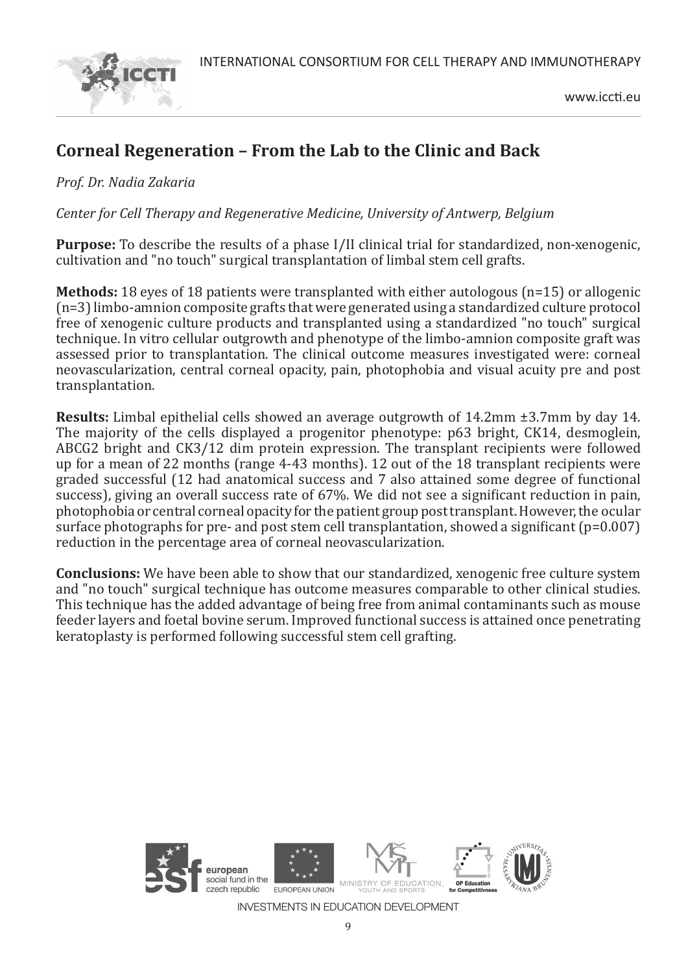

## **Corneal Regeneration – From the Lab to the Clinic and Back**

*Prof. Dr. Nadia Zakaria*

*Center for Cell Therapy and Regenerative Medicine, University of Antwerp, Belgium*

**Purpose:** To describe the results of a phase I/II clinical trial for standardized, non-xenogenic, cultivation and "no touch" surgical transplantation of limbal stem cell grafts.

**Methods:** 18 eyes of 18 patients were transplanted with either autologous (n=15) or allogenic (n=3) limbo-amnion composite grafts that were generated using a standardized culture protocol free of xenogenic culture products and transplanted using a standardized "no touch" surgical technique. In vitro cellular outgrowth and phenotype of the limbo-amnion composite graft was assessed prior to transplantation. The clinical outcome measures investigated were: corneal neovascularization, central corneal opacity, pain, photophobia and visual acuity pre and post transplantation.

**Results:** Limbal epithelial cells showed an average outgrowth of 14.2mm ±3.7mm by day 14. The majority of the cells displayed a progenitor phenotype: p63 bright, CK14, desmoglein, ABCG2 bright and CK3/12 dim protein expression. The transplant recipients were followed up for a mean of 22 months (range 4-43 months). 12 out of the 18 transplant recipients were graded successful (12 had anatomical success and 7 also attained some degree of functional success), giving an overall success rate of 67%. We did not see a significant reduction in pain, photophobia or central corneal opacity for the patient group post transplant. However, the ocular surface photographs for pre- and post stem cell transplantation, showed a significant (p=0.007) reduction in the percentage area of corneal neovascularization.

**Conclusions:** We have been able to show that our standardized, xenogenic free culture system and "no touch" surgical technique has outcome measures comparable to other clinical studies. This technique has the added advantage of being free from animal contaminants such as mouse feeder layers and foetal bovine serum. Improved functional success is attained once penetrating keratoplasty is performed following successful stem cell grafting.

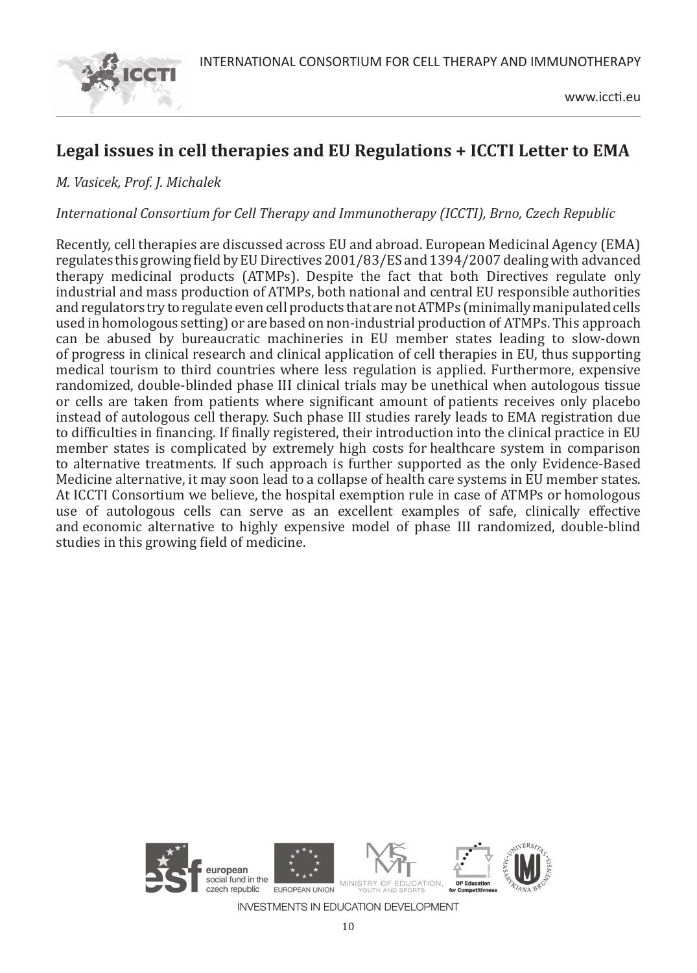

## **Legal issues in cell therapies and EU Regulations + ICCTI Letter to EMA**

#### *M. Vasicek, Prof. J. Michalek*

#### *International Consortium for Cell Therapy and Immunotherapy (ICCTI), Brno, Czech Republic*

Recently, cell therapies are discussed across EU and abroad. European Medicinal Agency (EMA) regulates this growing field by EU Directives 2001/83/ES and 1394/2007 dealing with advanced therapy medicinal products (ATMPs). Despite the fact that both Directives regulate only industrial and mass production of ATMPs, both national and central EU responsible authorities and regulators try to regulate even cell products that are not ATMPs (minimally manipulated cells used in homologous setting) or are based on non-industrial production of ATMPs. This approach can be abused by bureaucratic machineries in EU member states leading to slow-down of progress in clinical research and clinical application of cell therapies in EU, thus supporting medical tourism to third countries where less regulation is applied. Furthermore, expensive randomized, double-blinded phase III clinical trials may be unethical when autologous tissue or cells are taken from patients where significant amount of patients receives only placebo instead of autologous cell therapy. Such phase III studies rarely leads to EMA registration due to difficulties in financing. If finally registered, their introduction into the clinical practice in EU member states is complicated by extremely high costs for healthcare system in comparison to alternative treatments. If such approach is further supported as the only Evidence-Based Medicine alternative, it may soon lead to a collapse of health care systems in EU member states. At ICCTI Consortium we believe, the hospital exemption rule in case of ATMPs or homologous use of autologous cells can serve as an excellent examples of safe, clinically effective and economic alternative to highly expensive model of phase III randomized, double-blind studies in this growing field of medicine.

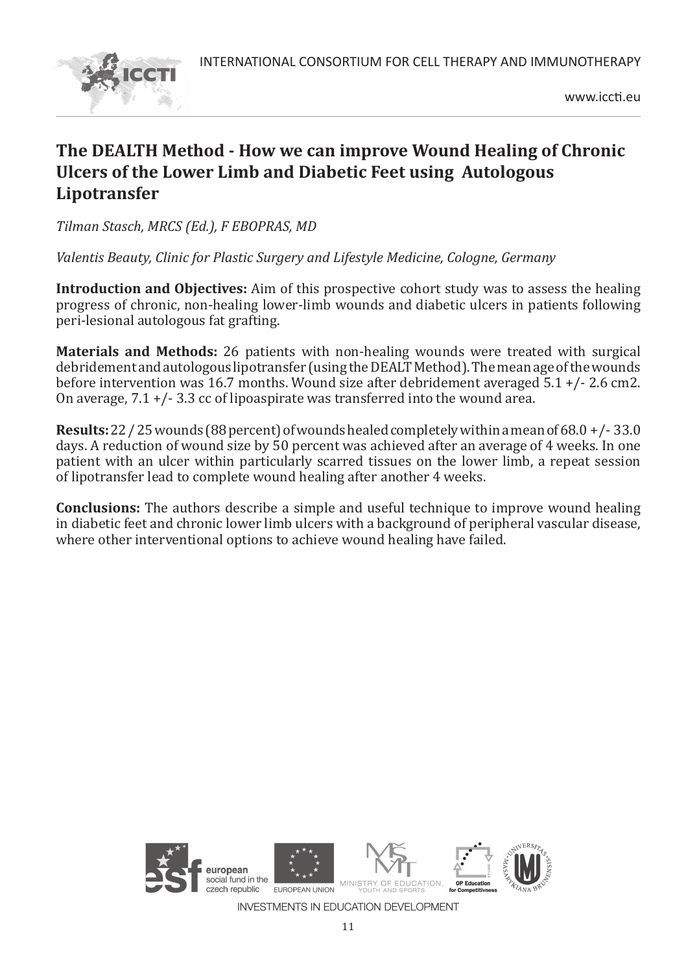

## **The DEALTH Method - How we can improve Wound Healing of Chronic Ulcers of the Lower Limb and Diabetic Feet using Autologous Lipotransfer**

*Tilman Stasch, MRCS (Ed.), F EBOPRAS, MD* 

*Valentis Beauty, Clinic for Plastic Surgery and Lifestyle Medicine, Cologne, Germany* 

**Introduction and Objectives:** Aim of this prospective cohort study was to assess the healing progress of chronic, non-healing lower-limb wounds and diabetic ulcers in patients following peri-lesional autologous fat grafting.

**Materials and Methods:** 26 patients with non-healing wounds were treated with surgical debridement and autologous lipotransfer (using the DEALT Method). The mean age of the wounds before intervention was 16.7 months. Wound size after debridement averaged 5.1 +/- 2.6 cm2. On average,  $7.1 + (-3.3 \text{ cc of lipo}$  as intermediate was transferred into the wound area.

**Results:** 22 / 25 wounds (88 percent) of wounds healed completely within a mean of 68.0 +/- 33.0 days. A reduction of wound size by 50 percent was achieved after an average of 4 weeks. In one patient with an ulcer within particularly scarred tissues on the lower limb, a repeat session of lipotransfer lead to complete wound healing after another 4 weeks.

**Conclusions:** The authors describe a simple and useful technique to improve wound healing in diabetic feet and chronic lower limb ulcers with a background of peripheral vascular disease, where other interventional options to achieve wound healing have failed.

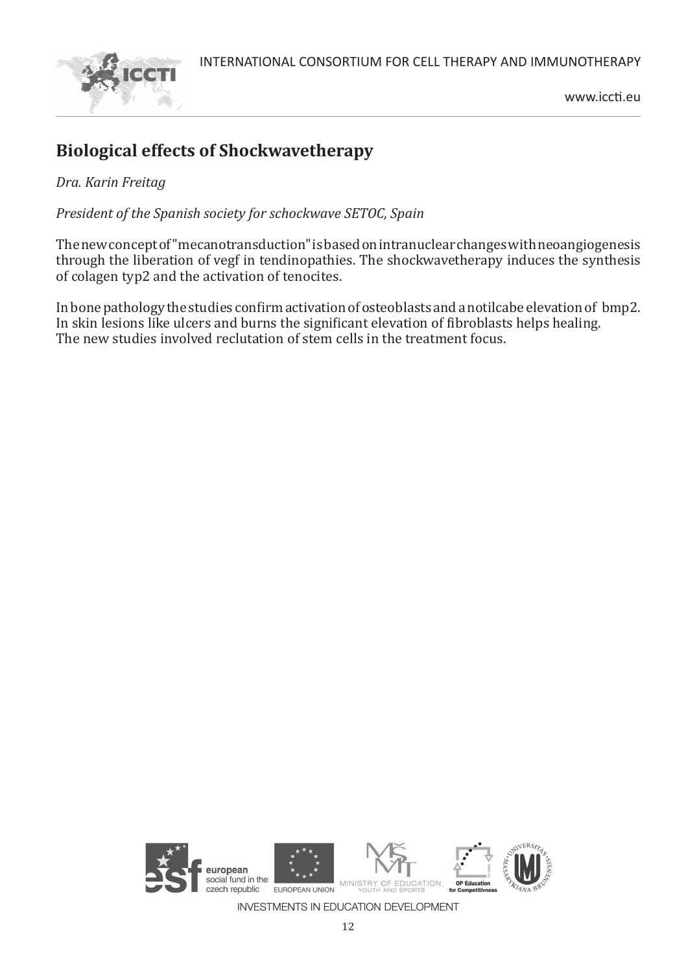



## **Biological effects of Shockwavetherapy**

*Dra. Karin Freitag*

*President of the Spanish society for schockwave SETOC, Spain*

The new concept of "mecanotransduction" is based on intranuclear changes with neoangiogenesis through the liberation of vegf in tendinopathies. The shockwavetherapy induces the synthesis of colagen typ2 and the activation of tenocites.

In bone pathology the studies confirm activation of osteoblasts and a notilcabe elevation of bmp2. In skin lesions like ulcers and burns the significant elevation of fibroblasts helps healing. The new studies involved reclutation of stem cells in the treatment focus.

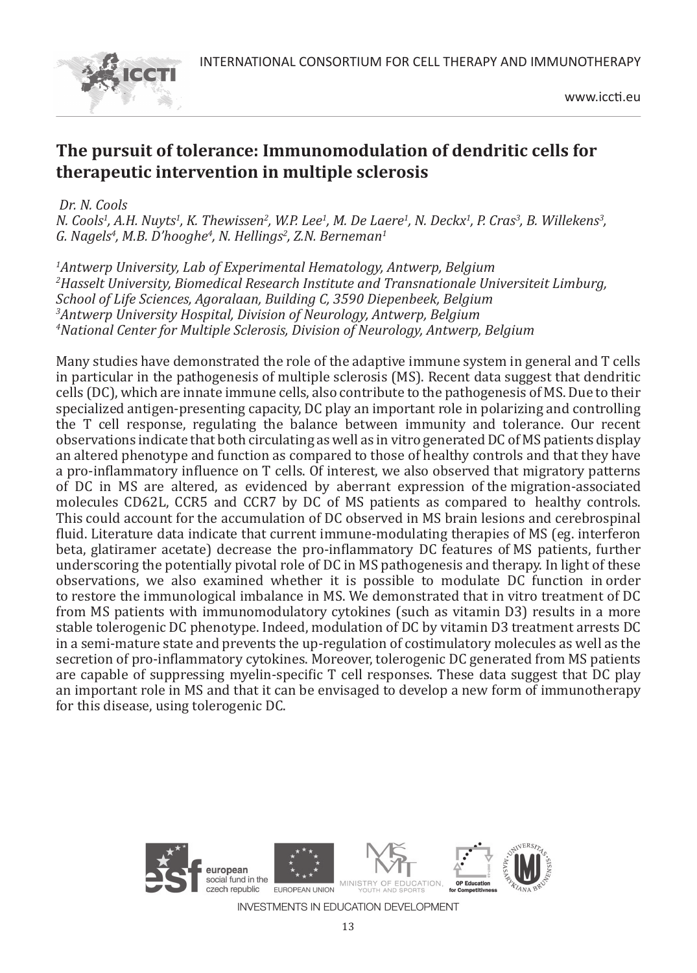

## **The pursuit of tolerance: Immunomodulation of dendritic cells for therapeutic intervention in multiple sclerosis**

 *Dr. N. Cools* 

*N. Cools<sup>1</sup>, A.H. Nuyts<sup>1</sup>, K. Thewissen<sup>2</sup>, W.P. Lee<sup>1</sup>, M. De Laere<sup>1</sup>, N. Deckx<sup>1</sup>, P. Cras<sup>3</sup>, B. Willekens<sup>3</sup>, G. Nagels4 , M.B. D'hooghe4 , N. Hellings2 , Z.N. Berneman1*

 *Antwerp University, Lab of Experimental Hematology, Antwerp, Belgium Hasselt University, Biomedical Research Institute and Transnationale Universiteit Limburg, School of Life Sciences, Agoralaan, Building C, 3590 Diepenbeek, Belgium Antwerp University Hospital, Division of Neurology, Antwerp, Belgium National Center for Multiple Sclerosis, Division of Neurology, Antwerp, Belgium*

Many studies have demonstrated the role of the adaptive immune system in general and T cells in particular in the pathogenesis of multiple sclerosis (MS). Recent data suggest that dendritic cells (DC), which are innate immune cells, also contribute to the pathogenesis of MS. Due to their specialized antigen-presenting capacity, DC play an important role in polarizing and controlling the T cell response, regulating the balance between immunity and tolerance. Our recent observations indicate that both circulating as well as in vitro generated DC of MS patients display an altered phenotype and function as compared to those of healthy controls and that they have a pro-inflammatory influence on T cells. Of interest, we also observed that migratory patterns of DC in MS are altered, as evidenced by aberrant expression of the migration-associated molecules CD62L, CCR5 and CCR7 by DC of MS patients as compared to healthy controls. This could account for the accumulation of DC observed in MS brain lesions and cerebrospinal fluid. Literature data indicate that current immune-modulating therapies of MS (eg. interferon beta, glatiramer acetate) decrease the pro-inflammatory DC features of MS patients, further underscoring the potentially pivotal role of DC in MS pathogenesis and therapy. In light of these observations, we also examined whether it is possible to modulate DC function in order to restore the immunological imbalance in MS. We demonstrated that in vitro treatment of DC from MS patients with immunomodulatory cytokines (such as vitamin D3) results in a more stable tolerogenic DC phenotype. Indeed, modulation of DC by vitamin D3 treatment arrests DC in a semi-mature state and prevents the up-regulation of costimulatory molecules as well as the secretion of pro-inflammatory cytokines. Moreover, tolerogenic DC generated from MS patients are capable of suppressing myelin-specific T cell responses. These data suggest that DC play an important role in MS and that it can be envisaged to develop a new form of immunotherapy for this disease, using tolerogenic DC.

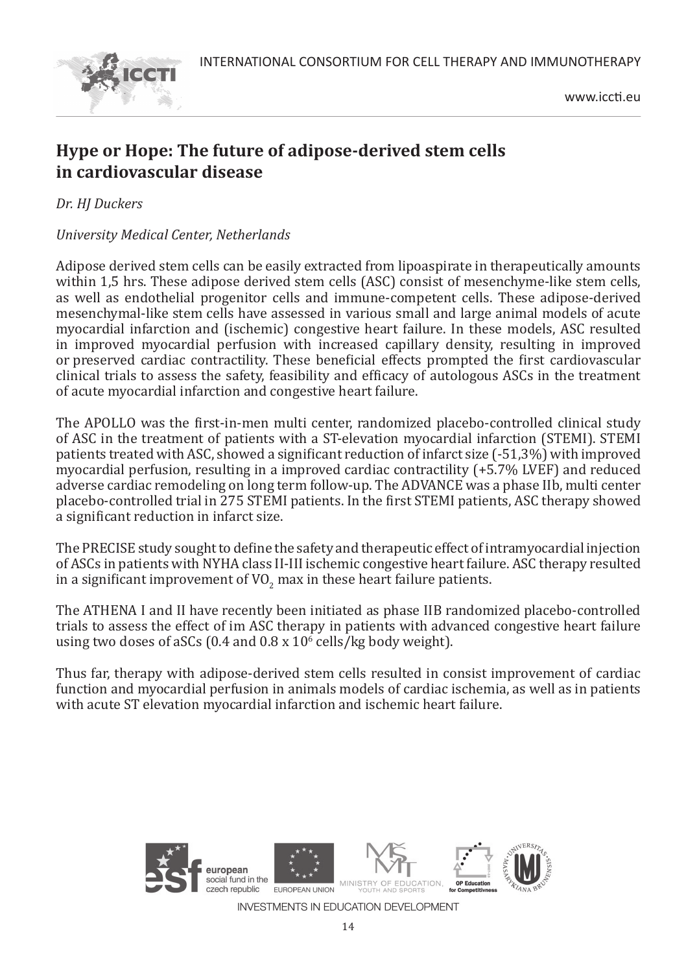

## **Hype or Hope: The future of adipose-derived stem cells in cardiovascular disease**

*Dr. HJ Duckers* 

*University Medical Center, Netherlands*

Adipose derived stem cells can be easily extracted from lipoaspirate in therapeutically amounts within 1,5 hrs. These adipose derived stem cells (ASC) consist of mesenchyme-like stem cells, as well as endothelial progenitor cells and immune-competent cells. These adipose-derived mesenchymal-like stem cells have assessed in various small and large animal models of acute myocardial infarction and (ischemic) congestive heart failure. In these models, ASC resulted in improved myocardial perfusion with increased capillary density, resulting in improved or preserved cardiac contractility. These beneficial effects prompted the first cardiovascular clinical trials to assess the safety, feasibility and efficacy of autologous ASCs in the treatment of acute myocardial infarction and congestive heart failure.

The APOLLO was the first-in-men multi center, randomized placebo-controlled clinical study of ASC in the treatment of patients with a ST-elevation myocardial infarction (STEMI). STEMI patients treated with ASC, showed a significant reduction of infarct size (-51,3%) with improved myocardial perfusion, resulting in a improved cardiac contractility (+5.7% LVEF) and reduced adverse cardiac remodeling on long term follow-up. The ADVANCE was a phase IIb, multi center placebo-controlled trial in 275 STEMI patients. In the first STEMI patients, ASC therapy showed a significant reduction in infarct size.

The PRECISE study sought to define the safety and therapeutic effect of intramyocardial injection of ASCs in patients with NYHA class II-III ischemic congestive heart failure. ASC therapy resulted in a significant improvement of VO $_2^{\,}$  max in these heart failure patients.

The ATHENA I and II have recently been initiated as phase IIB randomized placebo-controlled trials to assess the effect of im ASC therapy in patients with advanced congestive heart failure using two doses of aSCs (0.4 and  $0.8 \times 10^6$  cells/kg body weight).

Thus far, therapy with adipose-derived stem cells resulted in consist improvement of cardiac function and myocardial perfusion in animals models of cardiac ischemia, as well as in patients with acute ST elevation myocardial infarction and ischemic heart failure.

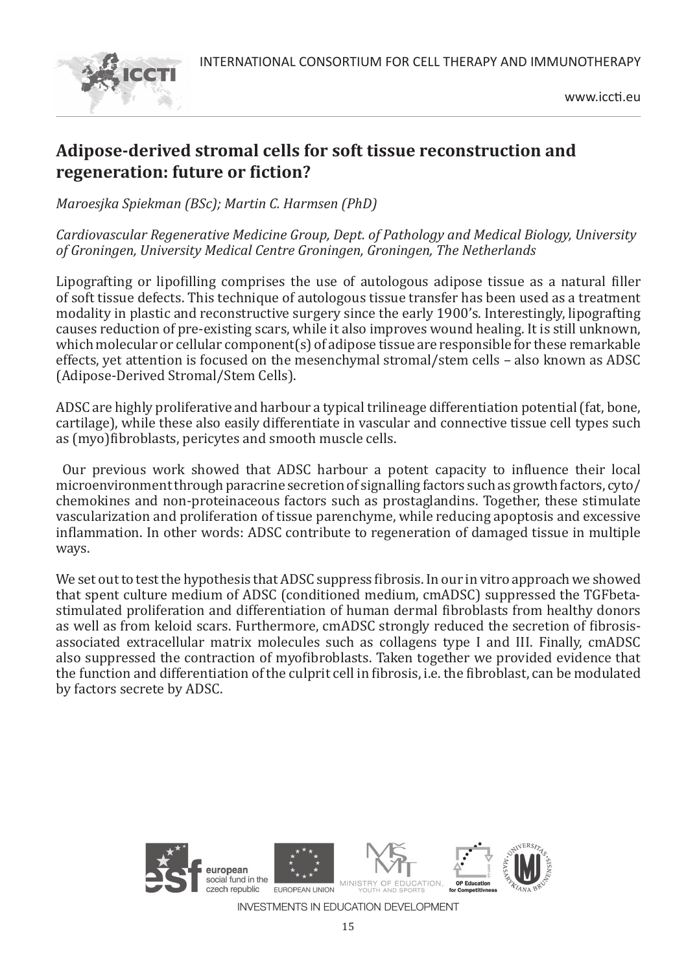

## **Adipose-derived stromal cells for soft tissue reconstruction and regeneration: future or fiction?**

*Maroesjka Spiekman (BSc); Martin C. Harmsen (PhD)*

*Cardiovascular Regenerative Medicine Group, Dept. of Pathology and Medical Biology, University of Groningen, University Medical Centre Groningen, Groningen, The Netherlands*

Lipografting or lipofilling comprises the use of autologous adipose tissue as a natural filler of soft tissue defects. This technique of autologous tissue transfer has been used as a treatment modality in plastic and reconstructive surgery since the early 1900's. Interestingly, lipografting causes reduction of pre-existing scars, while it also improves wound healing. It is still unknown, which molecular or cellular component(s) of adipose tissue are responsible for these remarkable effects, yet attention is focused on the mesenchymal stromal/stem cells – also known as ADSC (Adipose-Derived Stromal/Stem Cells).

ADSC are highly proliferative and harbour a typical trilineage differentiation potential (fat, bone, cartilage), while these also easily differentiate in vascular and connective tissue cell types such as (myo)fibroblasts, pericytes and smooth muscle cells.

 Our previous work showed that ADSC harbour a potent capacity to influence their local microenvironment through paracrine secretion of signalling factors such as growth factors, cyto/ chemokines and non-proteinaceous factors such as prostaglandins. Together, these stimulate vascularization and proliferation of tissue parenchyme, while reducing apoptosis and excessive inflammation. In other words: ADSC contribute to regeneration of damaged tissue in multiple ways.

We set out to test the hypothesis that ADSC suppress fibrosis. In our in vitro approach we showed that spent culture medium of ADSC (conditioned medium, cmADSC) suppressed the TGFbetastimulated proliferation and differentiation of human dermal fibroblasts from healthy donors as well as from keloid scars. Furthermore, cmADSC strongly reduced the secretion of fibrosisassociated extracellular matrix molecules such as collagens type I and III. Finally, cmADSC also suppressed the contraction of myofibroblasts. Taken together we provided evidence that the function and differentiation of the culprit cell in fibrosis, i.e. the fibroblast, can be modulated by factors secrete by ADSC.

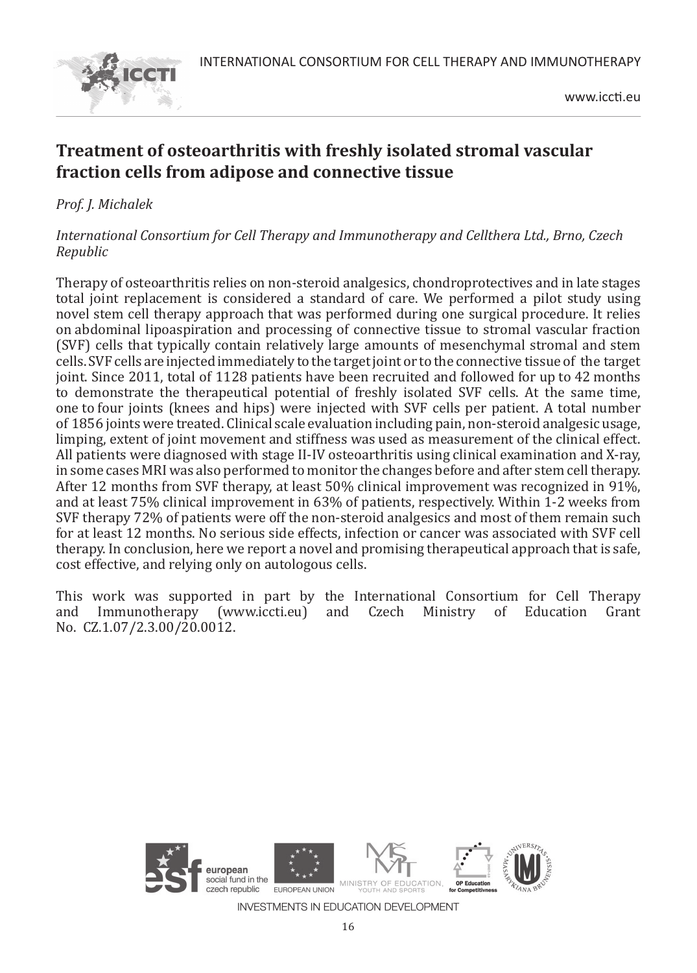

## **Treatment of osteoarthritis with freshly isolated stromal vascular fraction cells from adipose and connective tissue**

*Prof. J. Michalek* 

#### *International Consortium for Cell Therapy and Immunotherapy and Cellthera Ltd., Brno, Czech Republic*

Therapy of osteoarthritis relies on non-steroid analgesics, chondroprotectives and in late stages total joint replacement is considered a standard of care. We performed a pilot study using novel stem cell therapy approach that was performed during one surgical procedure. It relies on abdominal lipoaspiration and processing of connective tissue to stromal vascular fraction (SVF) cells that typically contain relatively large amounts of mesenchymal stromal and stem cells. SVF cells are injected immediately to the target joint or to the connective tissue of the target joint. Since 2011, total of 1128 patients have been recruited and followed for up to 42 months to demonstrate the therapeutical potential of freshly isolated SVF cells. At the same time, one to four joints (knees and hips) were injected with SVF cells per patient. A total number of 1856 joints were treated. Clinical scale evaluation including pain, non-steroid analgesic usage, limping, extent of joint movement and stiffness was used as measurement of the clinical effect. All patients were diagnosed with stage II-IV osteoarthritis using clinical examination and X-ray, in some cases MRI was also performed to monitor the changes before and after stem cell therapy. After 12 months from SVF therapy, at least 50% clinical improvement was recognized in 91%, and at least 75% clinical improvement in 63% of patients, respectively. Within 1-2 weeks from SVF therapy 72% of patients were off the non-steroid analgesics and most of them remain such for at least 12 months. No serious side effects, infection or cancer was associated with SVF cell therapy. In conclusion, here we report a novel and promising therapeutical approach that is safe, cost effective, and relying only on autologous cells.

This work was supported in part by the International Consortium for Cell Therapy<br>and Immunotherapy (www.iccti.eu) and Czech Ministry of Education Grant and Immunotherapy No. CZ.1.07/2.3.00/20.0012.

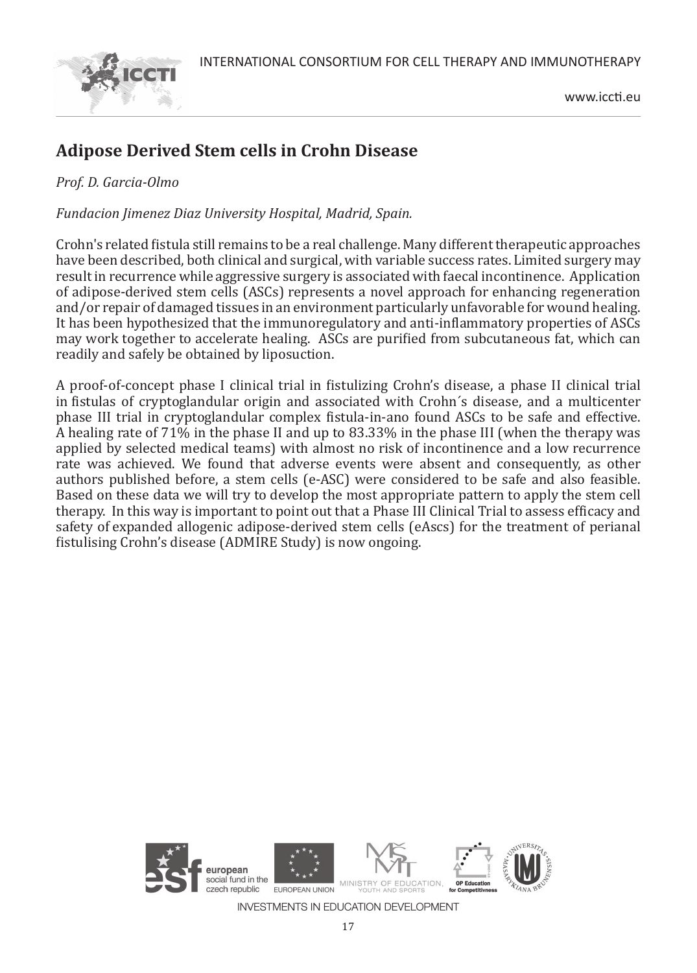

## **Adipose Derived Stem cells in Crohn Disease**

#### *Prof. D. Garcia-Olmo*

*Fundacion Jimenez Diaz University Hospital, Madrid, Spain.* 

Crohn's related fistula still remains to be a real challenge. Many different therapeutic approaches have been described, both clinical and surgical, with variable success rates. Limited surgery may result in recurrence while aggressive surgery is associated with faecal incontinence. Application of adipose-derived stem cells (ASCs) represents a novel approach for enhancing regeneration and/or repair of damaged tissues in an environment particularly unfavorable for wound healing. It has been hypothesized that the immunoregulatory and anti-inflammatory properties of ASCs may work together to accelerate healing. ASCs are purified from subcutaneous fat, which can readily and safely be obtained by liposuction.

A proof-of-concept phase I clinical trial in fistulizing Crohn's disease, a phase II clinical trial in fistulas of cryptoglandular origin and associated with Crohn´s disease, and a multicenter phase III trial in cryptoglandular complex fistula-in-ano found ASCs to be safe and effective. A healing rate of 71% in the phase II and up to 83.33% in the phase III (when the therapy was applied by selected medical teams) with almost no risk of incontinence and a low recurrence rate was achieved. We found that adverse events were absent and consequently, as other authors published before, a stem cells (e-ASC) were considered to be safe and also feasible. Based on these data we will try to develop the most appropriate pattern to apply the stem cell therapy. In this way is important to point out that a Phase III Clinical Trial to assess efficacy and safety of expanded allogenic adipose-derived stem cells (eAscs) for the treatment of perianal fistulising Crohn's disease (ADMIRE Study) is now ongoing.

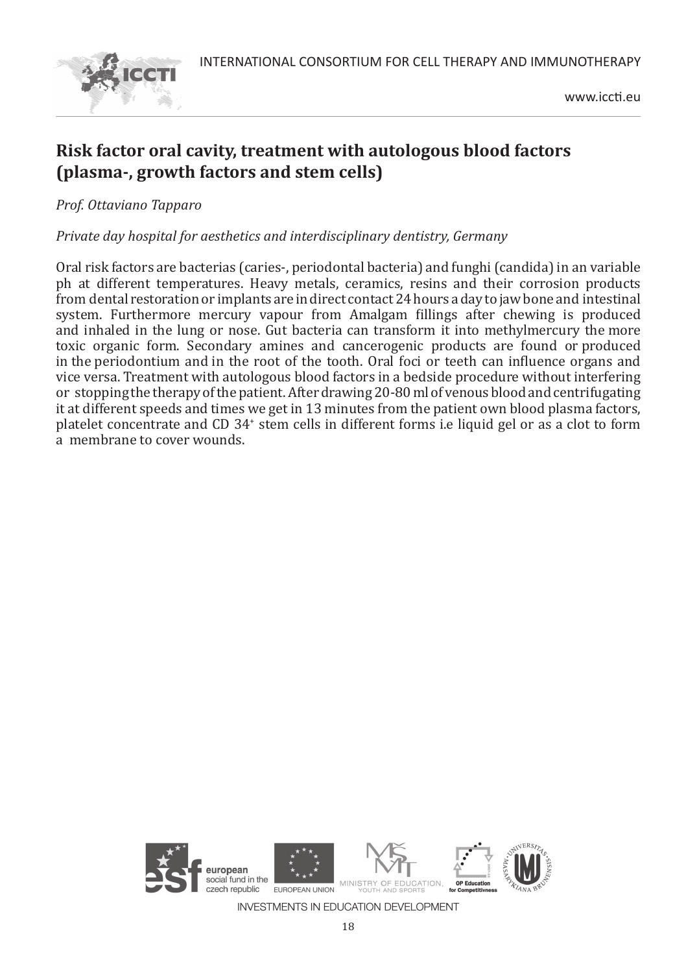

## **Risk factor oral cavity, treatment with autologous blood factors (plasma-, growth factors and stem cells)**

*Prof. Ottaviano Tapparo*

*Private day hospital for aesthetics and interdisciplinary dentistry, Germany*

Oral risk factors are bacterias (caries-, periodontal bacteria) and funghi (candida) in an variable ph at different temperatures. Heavy metals, ceramics, resins and their corrosion products from dental restoration or implants are in direct contact 24 hours a day to jaw bone and intestinal system. Furthermore mercury vapour from Amalgam fillings after chewing is produced and inhaled in the lung or nose. Gut bacteria can transform it into methylmercury the more toxic organic form. Secondary amines and cancerogenic products are found or produced in the periodontium and in the root of the tooth. Oral foci or teeth can influence organs and vice versa. Treatment with autologous blood factors in a bedside procedure without interfering or stopping the therapy of the patient. After drawing 20-80 ml of venous blood and centrifugating it at different speeds and times we get in 13 minutes from the patient own blood plasma factors, platelet concentrate and CD 34<sup>+</sup> stem cells in different forms i.e liquid gel or as a clot to form a membrane to cover wounds.

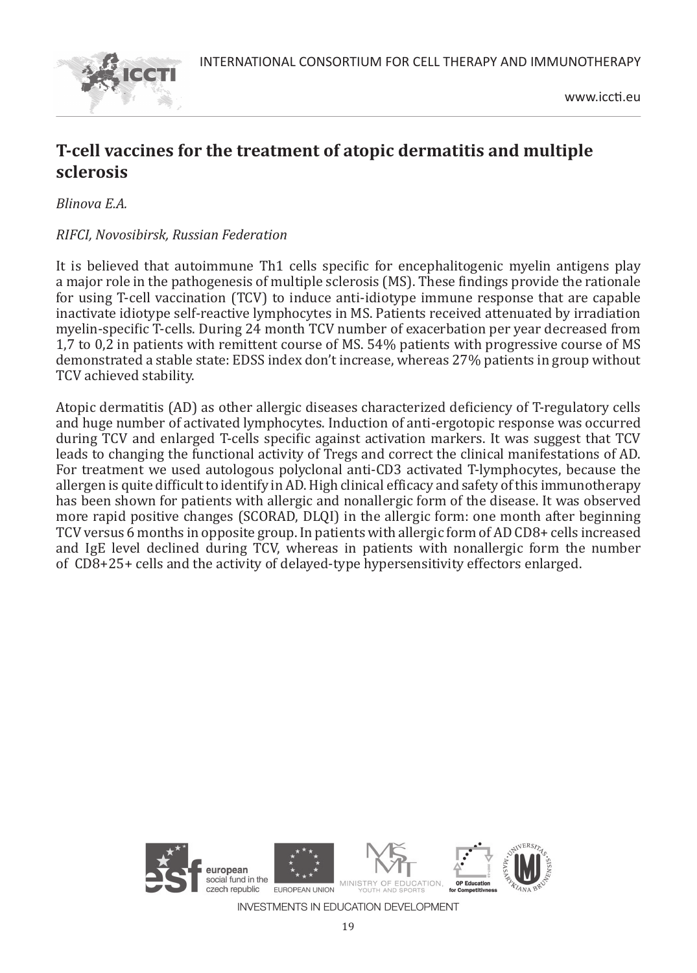

## **T-cell vaccines for the treatment of atopic dermatitis and multiple sclerosis**

*Blinova E.A.*

#### *RIFCI, Novosibirsk, Russian Federation*

It is believed that autoimmune Th1 cells specific for encephalitogenic myelin antigens play a major role in the pathogenesis of multiple sclerosis (MS). These findings provide the rationale for using T-cell vaccination (TCV) to induce anti-idiotype immune response that are capable inactivate idiotype self-reactive lymphocytes in MS. Patients received attenuated by irradiation myelin-specific T-cells. During 24 month TCV number of exacerbation per year decreased from 1,7 to 0,2 in patients with remittent course of MS. 54% patients with progressive course of MS demonstrated a stable state: EDSS index don't increase, whereas 27% patients in group without TCV achieved stability.

Atopic dermatitis (AD) as other allergic diseases characterized deficiency of T-regulatory cells and huge number of activated lymphocytes. Induction of anti-ergotopic response was occurred during TCV and enlarged T-cells specific against activation markers. It was suggest that TCV leads to changing the functional activity of Tregs and correct the clinical manifestations of AD. For treatment we used autologous polyclonal anti-CD3 activated T-lymphocytes, because the allergen is quite difficult to identify in AD. High clinical efficacy and safety of this immunotherapy has been shown for patients with allergic and nonallergic form of the disease. It was observed more rapid positive changes (SCORAD, DLQI) in the allergic form: one month after beginning TCV versus 6 months in opposite group. In patients with allergic form of AD CD8+ cells increased and IgE level declined during TCV, whereas in patients with nonallergic form the number of CD8+25+ cells and the activity of delayed-type hypersensitivity effectors enlarged.

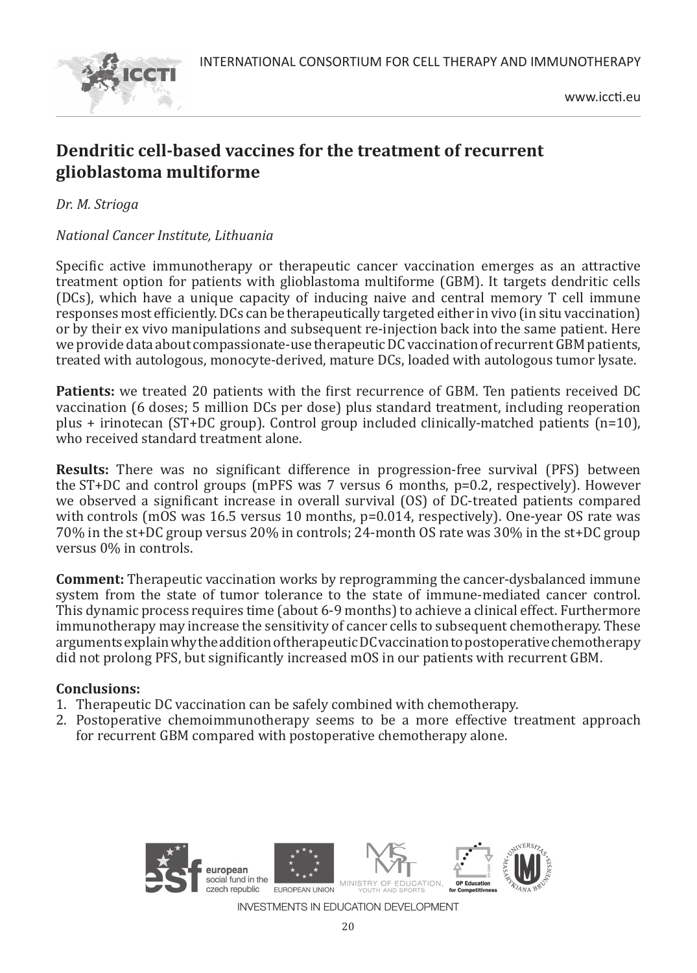

## **Dendritic cell-based vaccines for the treatment of recurrent glioblastoma multiforme**

*Dr. M. Strioga* 

#### *National Cancer Institute, Lithuania*

Specific active immunotherapy or therapeutic cancer vaccination emerges as an attractive treatment option for patients with glioblastoma multiforme (GBM). It targets dendritic cells (DCs), which have a unique capacity of inducing naive and central memory T cell immune responses most efficiently. DCs can be therapeutically targeted either in vivo (in situ vaccination) or by their ex vivo manipulations and subsequent re-injection back into the same patient. Here we provide data about compassionate-use therapeutic DC vaccination of recurrent GBM patients, treated with autologous, monocyte-derived, mature DCs, loaded with autologous tumor lysate.

**Patients:** we treated 20 patients with the first recurrence of GBM. Ten patients received DC vaccination (6 doses; 5 million DCs per dose) plus standard treatment, including reoperation plus + irinotecan (ST+DC group). Control group included clinically-matched patients (n=10), who received standard treatment alone.

**Results:** There was no significant difference in progression-free survival (PFS) between the ST+DC and control groups (mPFS was 7 versus 6 months, p=0.2, respectively). However we observed a significant increase in overall survival (OS) of DC-treated patients compared with controls (mOS was 16.5 versus 10 months, p=0.014, respectively). One-year OS rate was 70% in the st+DC group versus 20% in controls; 24-month OS rate was 30% in the st+DC group versus 0% in controls.

**Comment:** Therapeutic vaccination works by reprogramming the cancer-dysbalanced immune system from the state of tumor tolerance to the state of immune-mediated cancer control. This dynamic process requires time (about 6-9 months) to achieve a clinical effect. Furthermore immunotherapy may increase the sensitivity of cancer cells to subsequent chemotherapy. These arguments explain why the addition of therapeutic DC vaccination to postoperative chemotherapy did not prolong PFS, but significantly increased mOS in our patients with recurrent GBM.

#### **Conclusions:**

- 1. Therapeutic DC vaccination can be safely combined with chemotherapy.
- 2. Postoperative chemoimmunotherapy seems to be a more effective treatment approach for recurrent GBM compared with postoperative chemotherapy alone.

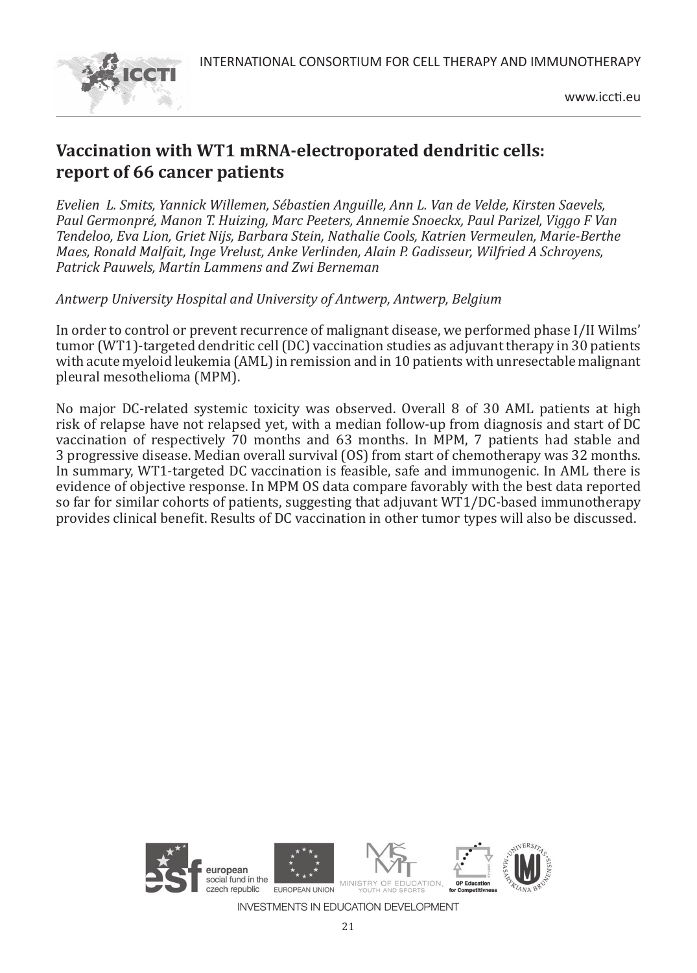

## **Vaccination with WT1 mRNA-electroporated dendritic cells: report of 66 cancer patients**

*Evelien L. Smits, Yannick Willemen, Sébastien Anguille, Ann L. Van de Velde, Kirsten Saevels, Paul Germonpré, Manon T. Huizing, Marc Peeters, Annemie Snoeckx, Paul Parizel, Viggo F Van Tendeloo, Eva Lion, Griet Nijs, Barbara Stein, Nathalie Cools, Katrien Vermeulen, Marie-Berthe Maes, Ronald Malfait, Inge Vrelust, Anke Verlinden, Alain P. Gadisseur, Wilfried A Schroyens, Patrick Pauwels, Martin Lammens and Zwi Berneman*

*Antwerp University Hospital and University of Antwerp, Antwerp, Belgium*

In order to control or prevent recurrence of malignant disease, we performed phase I/II Wilms' tumor (WT1)-targeted dendritic cell (DC) vaccination studies as adjuvant therapy in 30 patients with acute myeloid leukemia (AML) in remission and in 10 patients with unresectable malignant pleural mesothelioma (MPM).

No major DC-related systemic toxicity was observed. Overall 8 of 30 AML patients at high risk of relapse have not relapsed yet, with a median follow-up from diagnosis and start of DC vaccination of respectively 70 months and 63 months. In MPM, 7 patients had stable and 3 progressive disease. Median overall survival (OS) from start of chemotherapy was 32 months. In summary, WT1-targeted DC vaccination is feasible, safe and immunogenic. In AML there is evidence of objective response. In MPM OS data compare favorably with the best data reported so far for similar cohorts of patients, suggesting that adjuvant WT1/DC-based immunotherapy provides clinical benefit. Results of DC vaccination in other tumor types will also be discussed.

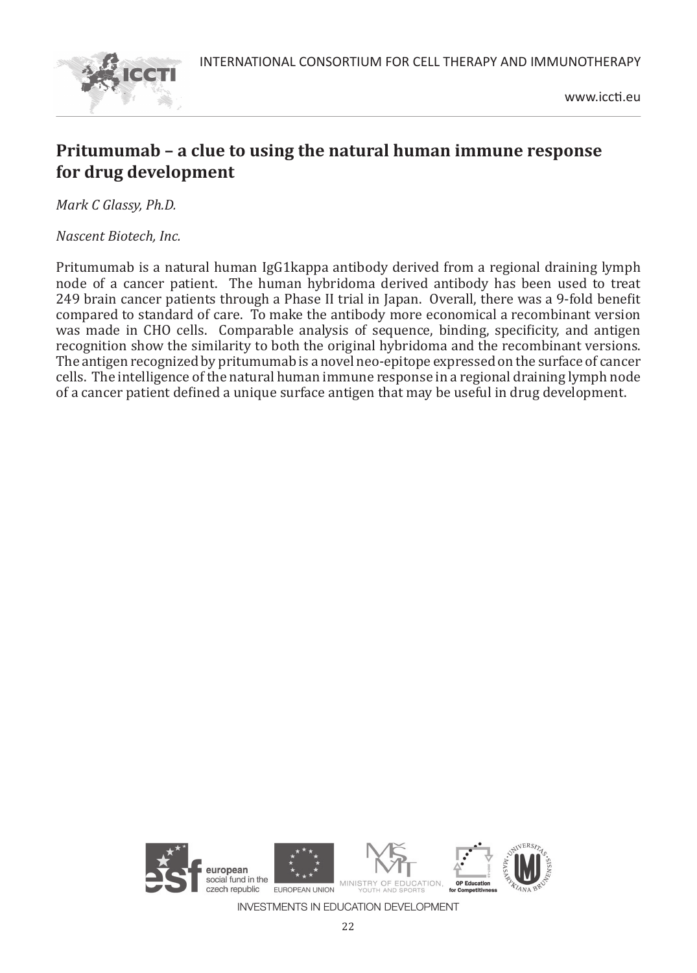

www.iccti.eu

## **Pritumumab – a clue to using the natural human immune response for drug development**

*Mark C Glassy, Ph.D.*

*Nascent Biotech, Inc.*

Pritumumab is a natural human IgG1kappa antibody derived from a regional draining lymph node of a cancer patient. The human hybridoma derived antibody has been used to treat 249 brain cancer patients through a Phase II trial in Japan. Overall, there was a 9-fold benefit compared to standard of care. To make the antibody more economical a recombinant version was made in CHO cells. Comparable analysis of sequence, binding, specificity, and antigen recognition show the similarity to both the original hybridoma and the recombinant versions. The antigen recognized by pritumumab is a novel neo-epitope expressed on the surface of cancer cells. The intelligence of the natural human immune response in a regional draining lymph node of a cancer patient defined a unique surface antigen that may be useful in drug development.

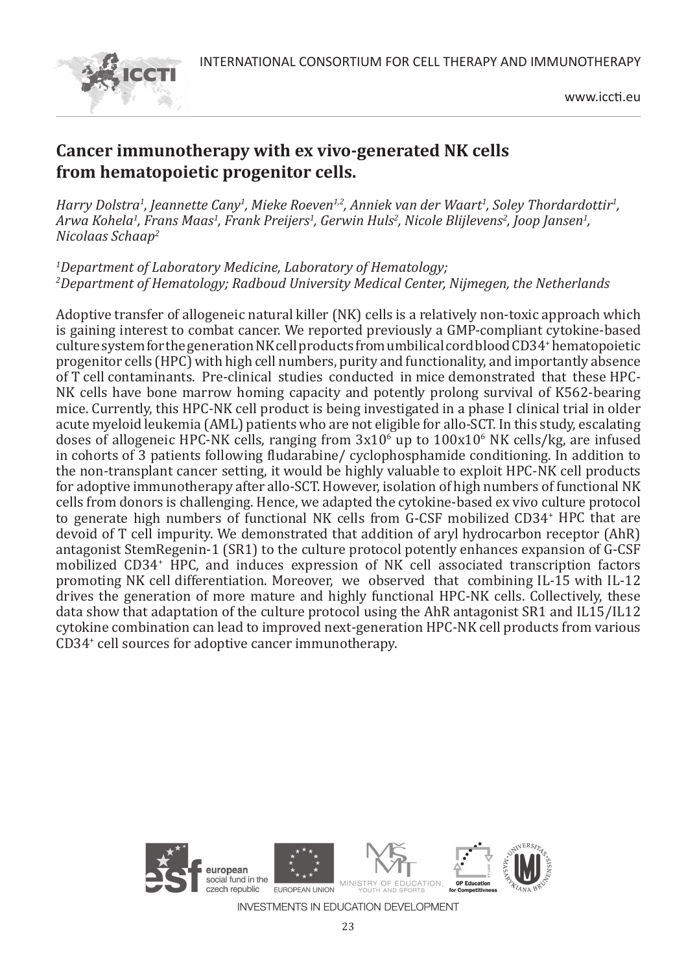

www.iccti.eu

## **Cancer immunotherapy with ex vivo-generated NK cells from hematopoietic progenitor cells.**

*Harry Dolstra1 , Jeannette Cany1 , Mieke Roeven1,2, Anniek van der Waart1 , Soley Thordardottir1 , Arwa Kohela1 , Frans Maas1 , Frank Preijers1 , Gerwin Huls2 , Nicole Blijlevens2 , Joop Jansen1 , Nicolaas Schaap2*

*1 Department of Laboratory Medicine, Laboratory of Hematology; 2 Department of Hematology; Radboud University Medical Center, Nijmegen, the Netherlands*

Adoptive transfer of allogeneic natural killer (NK) cells is a relatively non-toxic approach which is gaining interest to combat cancer. We reported previously a GMP-compliant cytokine-based culture system for the generation NK cell products from umbilical cord blood CD34<sup>+</sup> hematopoietic progenitor cells (HPC) with high cell numbers, purity and functionality, and importantly absence of T cell contaminants. Pre-clinical studies conducted in mice demonstrated that these HPC-NK cells have bone marrow homing capacity and potently prolong survival of K562-bearing mice. Currently, this HPC-NK cell product is being investigated in a phase I clinical trial in older acute myeloid leukemia (AML) patients who are not eligible for allo-SCT. In this study, escalating doses of allogeneic HPC-NK cells, ranging from  $3x10^6$  up to  $100x10^6$  NK cells/kg, are infused in cohorts of 3 patients following fludarabine/ cyclophosphamide conditioning. In addition to the non-transplant cancer setting, it would be highly valuable to exploit HPC-NK cell products for adoptive immunotherapy after allo-SCT. However, isolation of high numbers of functional NK cells from donors is challenging. Hence, we adapted the cytokine-based ex vivo culture protocol to generate high numbers of functional NK cells from G-CSF mobilized CD34<sup>+</sup> HPC that are devoid of T cell impurity. We demonstrated that addition of aryl hydrocarbon receptor (AhR) antagonist StemRegenin-1 (SR1) to the culture protocol potently enhances expansion of G-CSF mobilized CD34<sup>+</sup> HPC, and induces expression of NK cell associated transcription factors promoting NK cell differentiation. Moreover, we observed that combining IL-15 with IL-12 drives the generation of more mature and highly functional HPC-NK cells. Collectively, these data show that adaptation of the culture protocol using the AhR antagonist SR1 and IL15/IL12 cytokine combination can lead to improved next-generation HPC-NK cell products from various CD34<sup>+</sup> cell sources for adoptive cancer immunotherapy.



23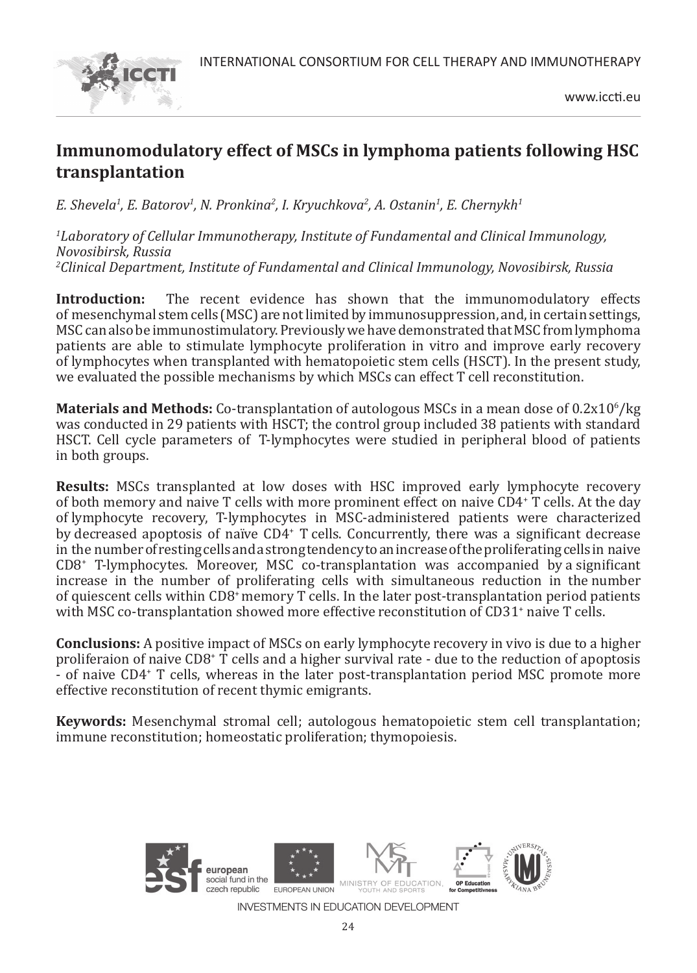

## **Immunomodulatory effect of MSCs in lymphoma patients following HSC transplantation**

*E. Shevela1 , E. Batorov1 , N. Pronkina2 , I. Kryuchkova2 , A. Ostanin1 , E. Chernykh1*

*1 Laboratory of Cellular Immunotherapy, Institute of Fundamental and Clinical Immunology, Novosibirsk, Russia 2 Clinical Department, Institute of Fundamental and Clinical Immunology, Novosibirsk, Russia*

**Introduction:** The recent evidence has shown that the immunomodulatory effects of mesenchymal stem cells (MSC) are not limited by immunosuppression, and, in certain settings, MSC can also be immunostimulatory. Previously we have demonstrated that MSC from lymphoma patients are able to stimulate lymphocyte proliferation in vitro and improve early recovery of lymphocytes when transplanted with hematopoietic stem cells (HSCT). In the present study, we evaluated the possible mechanisms by which MSCs can effect T cell reconstitution.

**Materials and Methods:** Co-transplantation of autologous MSCs in a mean dose of 0.2x10<sup>6</sup>/kg was conducted in 29 patients with HSCT; the control group included 38 patients with standard HSCT. Cell cycle parameters of T-lymphocytes were studied in peripheral blood of patients in both groups.

**Results:** MSCs transplanted at low doses with HSC improved early lymphocyte recovery of both memory and naive T cells with more prominent effect on naive CD4<sup>+</sup> T cells. At the day of lymphocyte recovery, T-lymphocytes in MSC-administered patients were characterized by decreased apoptosis of naïve CD4<sup>+</sup> T cells. Concurrently, there was a significant decrease in the number of resting cells and a strong tendency to an increase of the proliferating cells in naive CD8<sup>+</sup> T-lymphocytes. Moreover, MSC co-transplantation was accompanied by a significant increase in the number of proliferating cells with simultaneous reduction in the number of quiescent cells within CD8<sup>+</sup>memory T cells. In the later post-transplantation period patients with MSC co-transplantation showed more effective reconstitution of CD31<sup>+</sup> naive T cells.

**Conclusions:** A positive impact of MSCs on early lymphocyte recovery in vivo is due to a higher proliferaion of naive CD8<sup>+</sup> T cells and a higher survival rate - due to the reduction of apoptosis - of naive CD4<sup>+</sup> T cells, whereas in the later post-transplantation period MSC promote more effective reconstitution of recent thymic emigrants.

**Keywords:** Mesenchymal stromal cell; autologous hematopoietic stem cell transplantation; immune reconstitution; homeostatic proliferation; thymopoiesis.

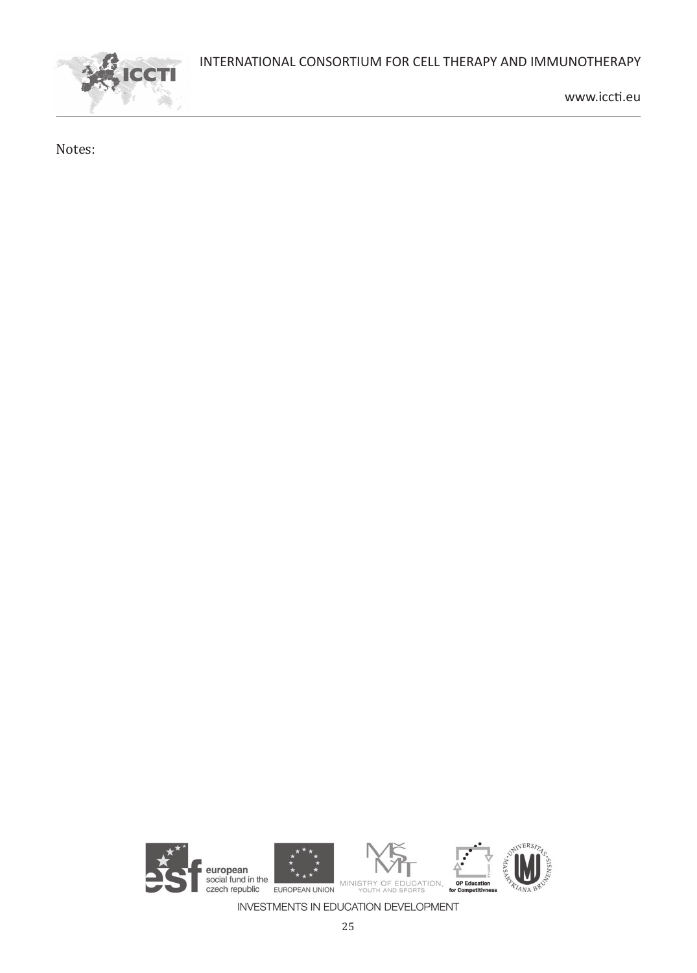

www.iccti.eu

Notes:

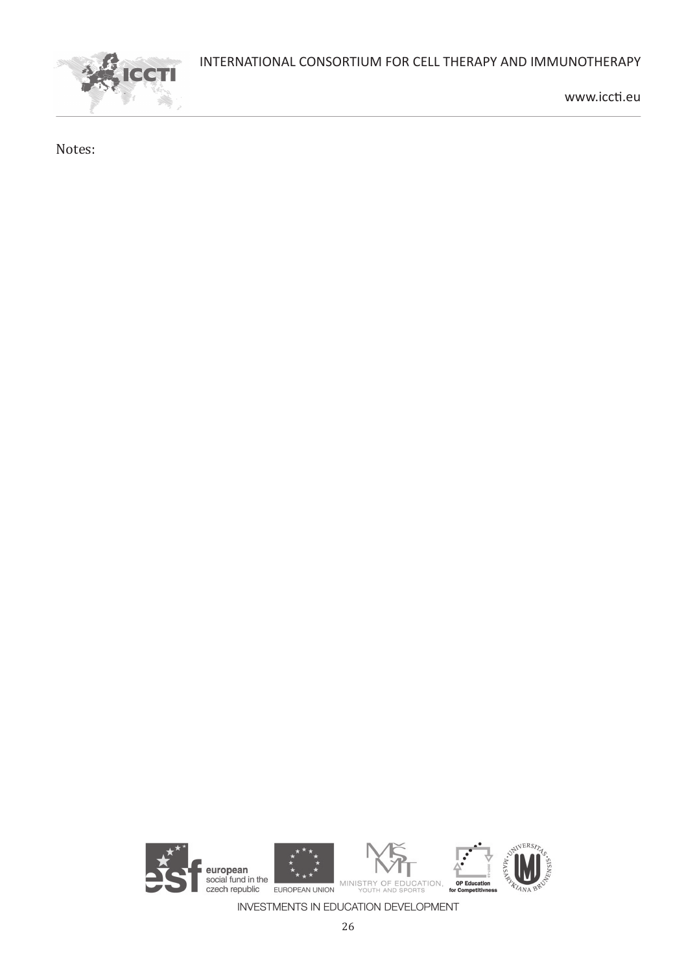

www.iccti.eu

Notes: